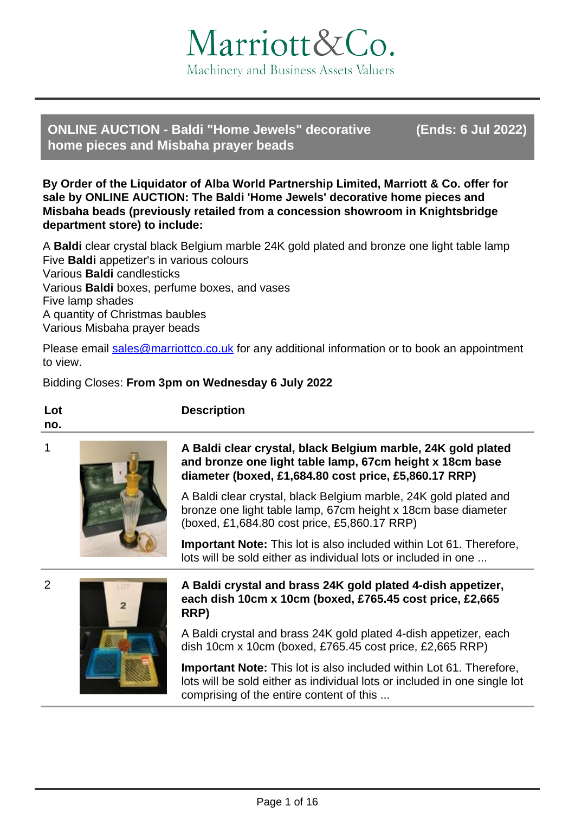

**ONLINE AUCTION - Baldi "Home Jewels" decorative (Ends: 6 Jul 2022) home pieces and Misbaha prayer beads**

**By Order of the Liquidator of Alba World Partnership Limited, Marriott & Co. offer for sale by ONLINE AUCTION: The Baldi 'Home Jewels' decorative home pieces and Misbaha beads (previously retailed from a concession showroom in Knightsbridge department store) to include:**

A **Baldi** clear crystal black Belgium marble 24K gold plated and bronze one light table lamp Five **Baldi** appetizer's in various colours Various **Baldi** candlesticks Various **Baldi** boxes, perfume boxes, and vases Five lamp shades A quantity of Christmas baubles Various Misbaha prayer beads

Please email [sales@marriottco.co.uk](mailto:sales@marriottco.co.uk) for any additional information or to book an appointment to view.

# Bidding Closes: **From 3pm on Wednesday 6 July 2022**

**Description**

**Lot no.**



# 1 **A Baldi clear crystal, black Belgium marble, 24K gold plated and bronze one light table lamp, 67cm height x 18cm base diameter (boxed, £1,684.80 cost price, £5,860.17 RRP)**

A Baldi clear crystal, black Belgium marble, 24K gold plated and bronze one light table lamp, 67cm height x 18cm base diameter (boxed, £1,684.80 cost price, £5,860.17 RRP)

**Important Note:** This lot is also included within Lot 61. Therefore, lots will be sold either as individual lots or included in one ...





# 2 **A Baldi crystal and brass 24K gold plated 4-dish appetizer, each dish 10cm x 10cm (boxed, £765.45 cost price, £2,665 RRP)**

A Baldi crystal and brass 24K gold plated 4-dish appetizer, each dish 10cm x 10cm (boxed, £765.45 cost price, £2,665 RRP)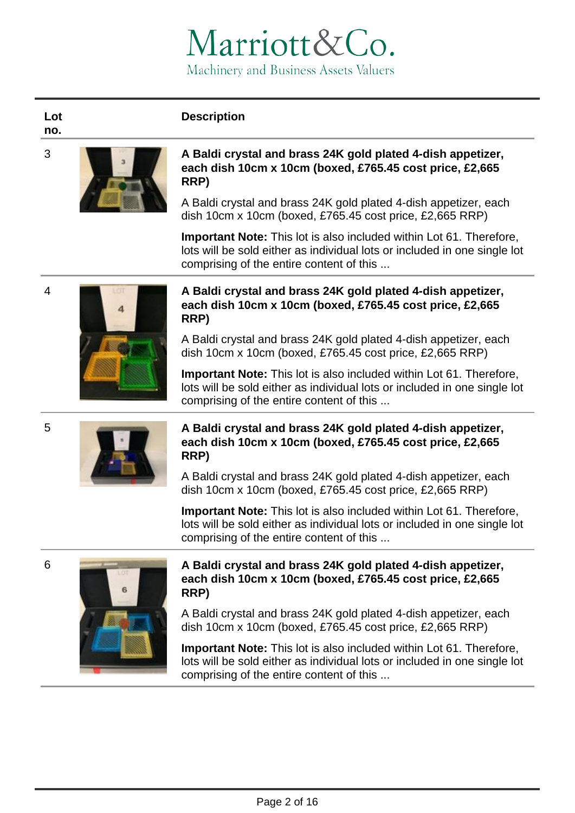# **Description**

**Lot no.**



### 3 **A Baldi crystal and brass 24K gold plated 4-dish appetizer, each dish 10cm x 10cm (boxed, £765.45 cost price, £2,665 RRP)**

A Baldi crystal and brass 24K gold plated 4-dish appetizer, each dish 10cm x 10cm (boxed, £765.45 cost price, £2,665 RRP)

**Important Note:** This lot is also included within Lot 61. Therefore, lots will be sold either as individual lots or included in one single lot comprising of the entire content of this ...



# 4 **A Baldi crystal and brass 24K gold plated 4-dish appetizer, each dish 10cm x 10cm (boxed, £765.45 cost price, £2,665 RRP)**

A Baldi crystal and brass 24K gold plated 4-dish appetizer, each dish 10cm x 10cm (boxed, £765.45 cost price, £2,665 RRP)

**Important Note:** This lot is also included within Lot 61. Therefore, lots will be sold either as individual lots or included in one single lot comprising of the entire content of this ...



# 5 **A Baldi crystal and brass 24K gold plated 4-dish appetizer, each dish 10cm x 10cm (boxed, £765.45 cost price, £2,665 RRP)**

A Baldi crystal and brass 24K gold plated 4-dish appetizer, each dish 10cm x 10cm (boxed, £765.45 cost price, £2,665 RRP)

**Important Note:** This lot is also included within Lot 61. Therefore, lots will be sold either as individual lots or included in one single lot comprising of the entire content of this ...



# 6 **A Baldi crystal and brass 24K gold plated 4-dish appetizer, each dish 10cm x 10cm (boxed, £765.45 cost price, £2,665 RRP)**

A Baldi crystal and brass 24K gold plated 4-dish appetizer, each dish 10cm x 10cm (boxed, £765.45 cost price, £2,665 RRP)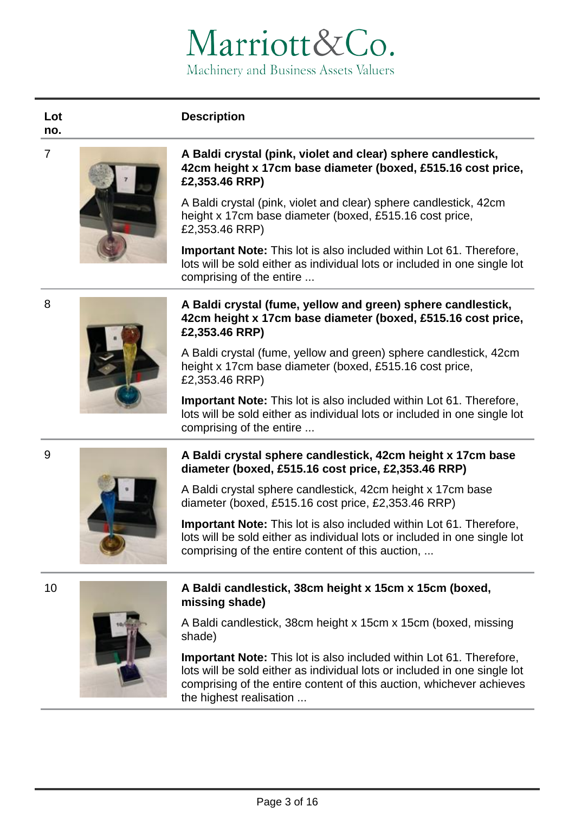# **Description**

**no.**

**Lot** 



### 7 **A Baldi crystal (pink, violet and clear) sphere candlestick, 42cm height x 17cm base diameter (boxed, £515.16 cost price, £2,353.46 RRP)**

A Baldi crystal (pink, violet and clear) sphere candlestick, 42cm height x 17cm base diameter (boxed, £515.16 cost price, £2,353.46 RRP)

**Important Note:** This lot is also included within Lot 61. Therefore, lots will be sold either as individual lots or included in one single lot comprising of the entire ...

# 8 **A Baldi crystal (fume, yellow and green) sphere candlestick, 42cm height x 17cm base diameter (boxed, £515.16 cost price, £2,353.46 RRP)**

A Baldi crystal (fume, yellow and green) sphere candlestick, 42cm height x 17cm base diameter (boxed, £515.16 cost price, £2,353.46 RRP)

**Important Note:** This lot is also included within Lot 61. Therefore, lots will be sold either as individual lots or included in one single lot comprising of the entire ...

# 9 **A Baldi crystal sphere candlestick, 42cm height x 17cm base diameter (boxed, £515.16 cost price, £2,353.46 RRP)**



A Baldi crystal sphere candlestick, 42cm height x 17cm base diameter (boxed, £515.16 cost price, £2,353.46 RRP)

**Important Note:** This lot is also included within Lot 61. Therefore, lots will be sold either as individual lots or included in one single lot comprising of the entire content of this auction, ...



# 10 **A Baldi candlestick, 38cm height x 15cm x 15cm (boxed, missing shade)**

A Baldi candlestick, 38cm height x 15cm x 15cm (boxed, missing shade)

**Important Note:** This lot is also included within Lot 61. Therefore, lots will be sold either as individual lots or included in one single lot comprising of the entire content of this auction, whichever achieves the highest realisation ...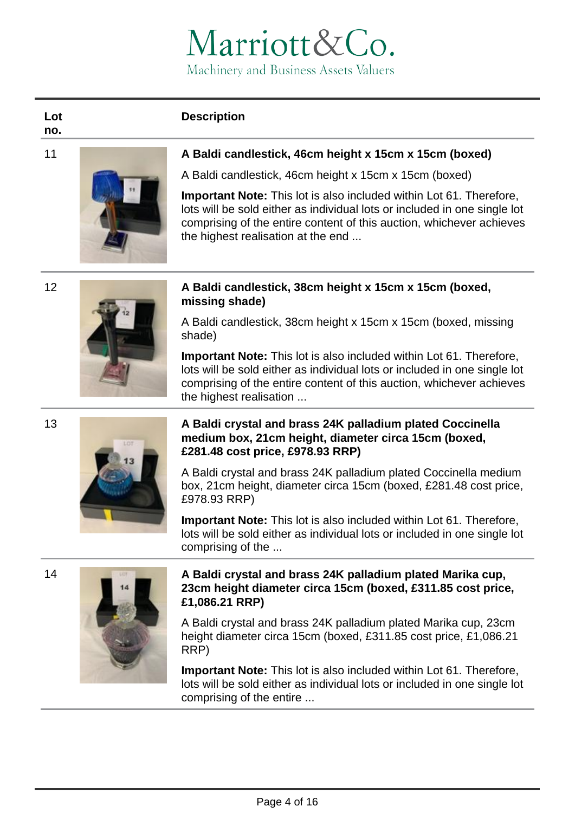# **Description**

**Lot no.**



# 11 **A Baldi candlestick, 46cm height x 15cm x 15cm (boxed)**

A Baldi candlestick, 46cm height x 15cm x 15cm (boxed)

**Important Note:** This lot is also included within Lot 61. Therefore, lots will be sold either as individual lots or included in one single lot comprising of the entire content of this auction, whichever achieves the highest realisation at the end ...



# 12 **A Baldi candlestick, 38cm height x 15cm x 15cm (boxed, missing shade)**

A Baldi candlestick, 38cm height x 15cm x 15cm (boxed, missing shade)

**Important Note:** This lot is also included within Lot 61. Therefore, lots will be sold either as individual lots or included in one single lot comprising of the entire content of this auction, whichever achieves the highest realisation ...

# 13 **A Baldi crystal and brass 24K palladium plated Coccinella medium box, 21cm height, diameter circa 15cm (boxed, £281.48 cost price, £978.93 RRP)**

A Baldi crystal and brass 24K palladium plated Coccinella medium box, 21cm height, diameter circa 15cm (boxed, £281.48 cost price, £978.93 RRP)

**Important Note:** This lot is also included within Lot 61. Therefore, lots will be sold either as individual lots or included in one single lot comprising of the ...



# 14 **A Baldi crystal and brass 24K palladium plated Marika cup, 23cm height diameter circa 15cm (boxed, £311.85 cost price, £1,086.21 RRP)**

A Baldi crystal and brass 24K palladium plated Marika cup, 23cm height diameter circa 15cm (boxed, £311.85 cost price, £1,086.21 RRP)

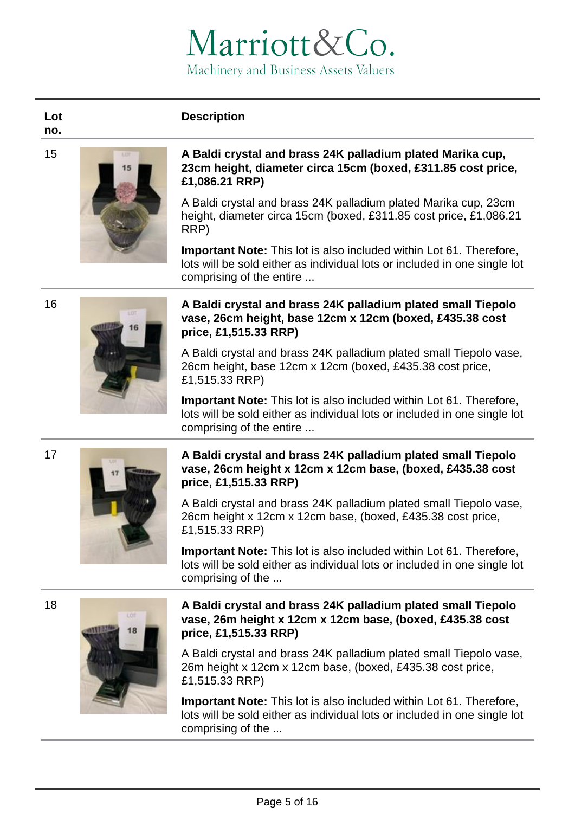# **Description**

**Lot no.**



### 15 **A Baldi crystal and brass 24K palladium plated Marika cup, 23cm height, diameter circa 15cm (boxed, £311.85 cost price, £1,086.21 RRP)**

A Baldi crystal and brass 24K palladium plated Marika cup, 23cm height, diameter circa 15cm (boxed, £311.85 cost price, £1,086.21 RRP)

**Important Note:** This lot is also included within Lot 61. Therefore, lots will be sold either as individual lots or included in one single lot comprising of the entire ...

# 16 **A Baldi crystal and brass 24K palladium plated small Tiepolo vase, 26cm height, base 12cm x 12cm (boxed, £435.38 cost price, £1,515.33 RRP)**

A Baldi crystal and brass 24K palladium plated small Tiepolo vase, 26cm height, base 12cm x 12cm (boxed, £435.38 cost price, £1,515.33 RRP)

**Important Note:** This lot is also included within Lot 61. Therefore, lots will be sold either as individual lots or included in one single lot comprising of the entire ...

# 17 **A Baldi crystal and brass 24K palladium plated small Tiepolo vase, 26cm height x 12cm x 12cm base, (boxed, £435.38 cost price, £1,515.33 RRP)**

A Baldi crystal and brass 24K palladium plated small Tiepolo vase, 26cm height x 12cm x 12cm base, (boxed, £435.38 cost price, £1,515.33 RRP)

**Important Note:** This lot is also included within Lot 61. Therefore, lots will be sold either as individual lots or included in one single lot comprising of the ...



# 18 **A Baldi crystal and brass 24K palladium plated small Tiepolo vase, 26m height x 12cm x 12cm base, (boxed, £435.38 cost price, £1,515.33 RRP)**

A Baldi crystal and brass 24K palladium plated small Tiepolo vase, 26m height x 12cm x 12cm base, (boxed, £435.38 cost price, £1,515.33 RRP)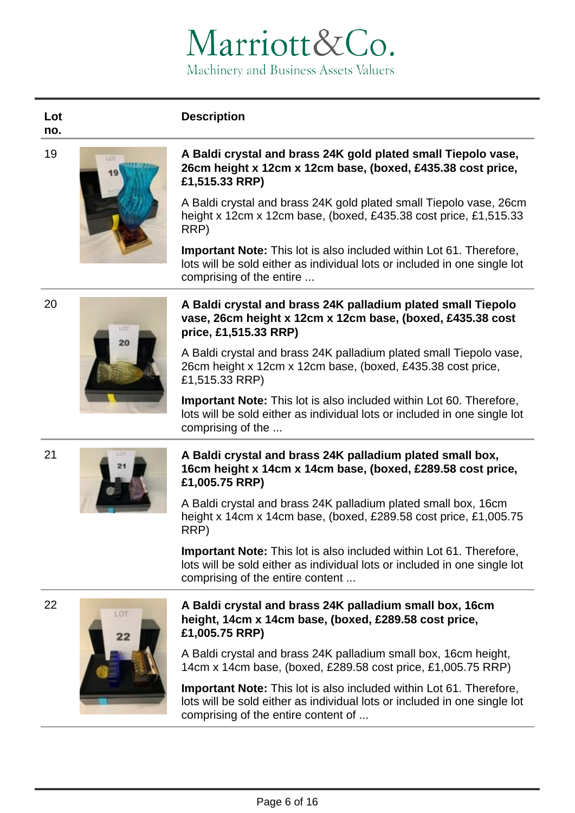# **Description**

**Lot no.**



### 19 **A Baldi crystal and brass 24K gold plated small Tiepolo vase, 26cm height x 12cm x 12cm base, (boxed, £435.38 cost price, £1,515.33 RRP)**

A Baldi crystal and brass 24K gold plated small Tiepolo vase, 26cm height x 12cm x 12cm base, (boxed, £435.38 cost price, £1,515.33 RRP)

**Important Note:** This lot is also included within Lot 61. Therefore, lots will be sold either as individual lots or included in one single lot comprising of the entire ...



# 20 **A Baldi crystal and brass 24K palladium plated small Tiepolo vase, 26cm height x 12cm x 12cm base, (boxed, £435.38 cost price, £1,515.33 RRP)**

A Baldi crystal and brass 24K palladium plated small Tiepolo vase, 26cm height x 12cm x 12cm base, (boxed, £435.38 cost price, £1,515.33 RRP)

**Important Note:** This lot is also included within Lot 60. Therefore, lots will be sold either as individual lots or included in one single lot comprising of the ...



# 21 **A Baldi crystal and brass 24K palladium plated small box, 16cm height x 14cm x 14cm base, (boxed, £289.58 cost price, £1,005.75 RRP)**

A Baldi crystal and brass 24K palladium plated small box, 16cm height x 14cm x 14cm base, (boxed, £289.58 cost price, £1,005.75 RRP)

**Important Note:** This lot is also included within Lot 61. Therefore, lots will be sold either as individual lots or included in one single lot comprising of the entire content ...



# 22 **A Baldi crystal and brass 24K palladium small box, 16cm height, 14cm x 14cm base, (boxed, £289.58 cost price, £1,005.75 RRP)**

A Baldi crystal and brass 24K palladium small box, 16cm height, 14cm x 14cm base, (boxed, £289.58 cost price, £1,005.75 RRP)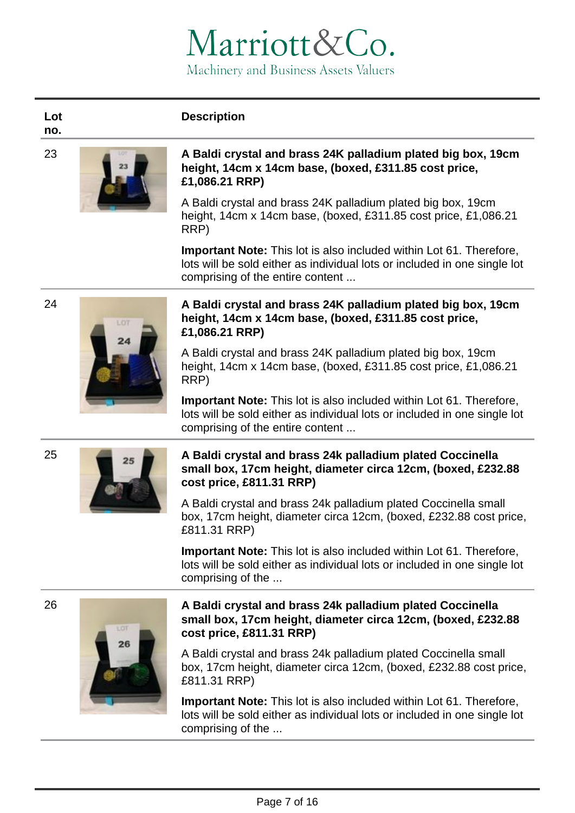# **Description**

**Lot no.**



### 23 **A Baldi crystal and brass 24K palladium plated big box, 19cm height, 14cm x 14cm base, (boxed, £311.85 cost price, £1,086.21 RRP)**

A Baldi crystal and brass 24K palladium plated big box, 19cm height, 14cm x 14cm base, (boxed, £311.85 cost price, £1,086.21 RRP)

**Important Note:** This lot is also included within Lot 61. Therefore, lots will be sold either as individual lots or included in one single lot comprising of the entire content ...



# 24 **A Baldi crystal and brass 24K palladium plated big box, 19cm height, 14cm x 14cm base, (boxed, £311.85 cost price, £1,086.21 RRP)**

A Baldi crystal and brass 24K palladium plated big box, 19cm height, 14cm x 14cm base, (boxed, £311.85 cost price, £1,086.21 RRP)

**Important Note:** This lot is also included within Lot 61. Therefore, lots will be sold either as individual lots or included in one single lot comprising of the entire content ...



# 25 **A Baldi crystal and brass 24k palladium plated Coccinella small box, 17cm height, diameter circa 12cm, (boxed, £232.88 cost price, £811.31 RRP)**

A Baldi crystal and brass 24k palladium plated Coccinella small box, 17cm height, diameter circa 12cm, (boxed, £232.88 cost price, £811.31 RRP)

**Important Note:** This lot is also included within Lot 61. Therefore, lots will be sold either as individual lots or included in one single lot comprising of the ...



# 26 **A Baldi crystal and brass 24k palladium plated Coccinella small box, 17cm height, diameter circa 12cm, (boxed, £232.88 cost price, £811.31 RRP)**

A Baldi crystal and brass 24k palladium plated Coccinella small box, 17cm height, diameter circa 12cm, (boxed, £232.88 cost price, £811.31 RRP)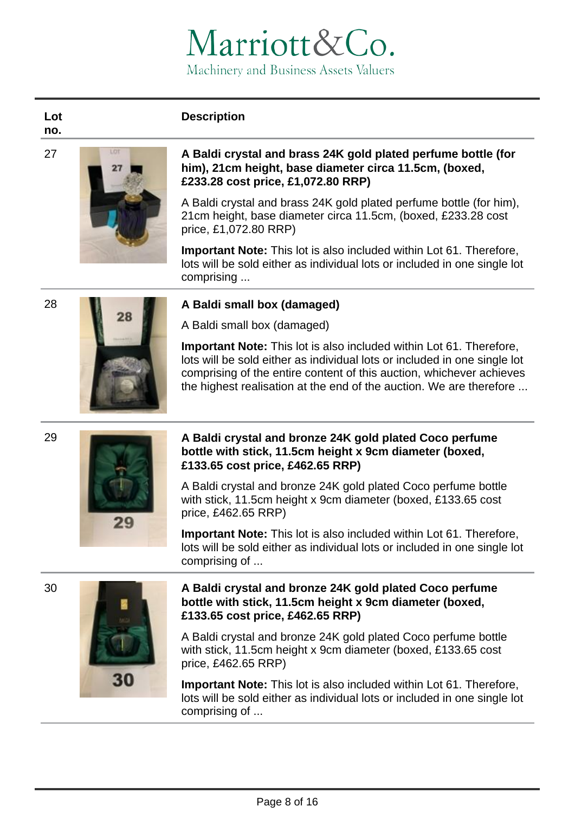# **Description**

**no.**

**Lot** 



### 27 **A Baldi crystal and brass 24K gold plated perfume bottle (for him), 21cm height, base diameter circa 11.5cm, (boxed, £233.28 cost price, £1,072.80 RRP)**

A Baldi crystal and brass 24K gold plated perfume bottle (for him), 21cm height, base diameter circa 11.5cm, (boxed, £233.28 cost price, £1,072.80 RRP)

**Important Note:** This lot is also included within Lot 61. Therefore, lots will be sold either as individual lots or included in one single lot comprising ...





# 28 **A Baldi small box (damaged)**

A Baldi small box (damaged)

**Important Note:** This lot is also included within Lot 61. Therefore, lots will be sold either as individual lots or included in one single lot comprising of the entire content of this auction, whichever achieves the highest realisation at the end of the auction. We are therefore ...



# 29 **A Baldi crystal and bronze 24K gold plated Coco perfume bottle with stick, 11.5cm height x 9cm diameter (boxed, £133.65 cost price, £462.65 RRP)**

A Baldi crystal and bronze 24K gold plated Coco perfume bottle with stick, 11.5cm height x 9cm diameter (boxed, £133.65 cost price, £462.65 RRP)

**Important Note:** This lot is also included within Lot 61. Therefore, lots will be sold either as individual lots or included in one single lot comprising of ...



# 30 **A Baldi crystal and bronze 24K gold plated Coco perfume bottle with stick, 11.5cm height x 9cm diameter (boxed, £133.65 cost price, £462.65 RRP)**

A Baldi crystal and bronze 24K gold plated Coco perfume bottle with stick, 11.5cm height x 9cm diameter (boxed, £133.65 cost price, £462.65 RRP)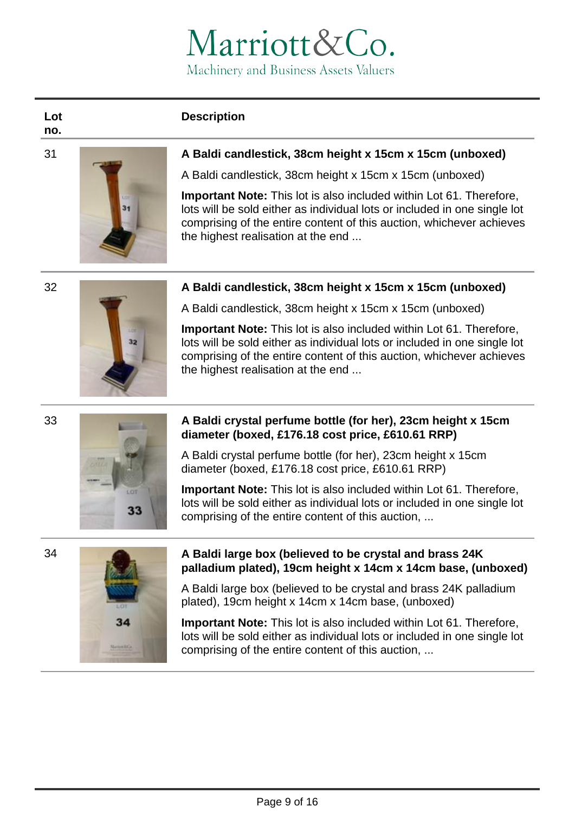# **Description**

**Lot no.**



# 31 **A Baldi candlestick, 38cm height x 15cm x 15cm (unboxed)**

A Baldi candlestick, 38cm height x 15cm x 15cm (unboxed)

**Important Note:** This lot is also included within Lot 61. Therefore, lots will be sold either as individual lots or included in one single lot comprising of the entire content of this auction, whichever achieves the highest realisation at the end ...

# 32 **A Baldi candlestick, 38cm height x 15cm x 15cm (unboxed)**



**Important Note:** This lot is also included within Lot 61. Therefore, lots will be sold either as individual lots or included in one single lot comprising of the entire content of this auction, whichever achieves the highest realisation at the end ...



# 33 **A Baldi crystal perfume bottle (for her), 23cm height x 15cm diameter (boxed, £176.18 cost price, £610.61 RRP)**

A Baldi crystal perfume bottle (for her), 23cm height x 15cm diameter (boxed, £176.18 cost price, £610.61 RRP)

**Important Note:** This lot is also included within Lot 61. Therefore, lots will be sold either as individual lots or included in one single lot comprising of the entire content of this auction, ...





# 34 **A Baldi large box (believed to be crystal and brass 24K palladium plated), 19cm height x 14cm x 14cm base, (unboxed)**

A Baldi large box (believed to be crystal and brass 24K palladium plated), 19cm height x 14cm x 14cm base, (unboxed)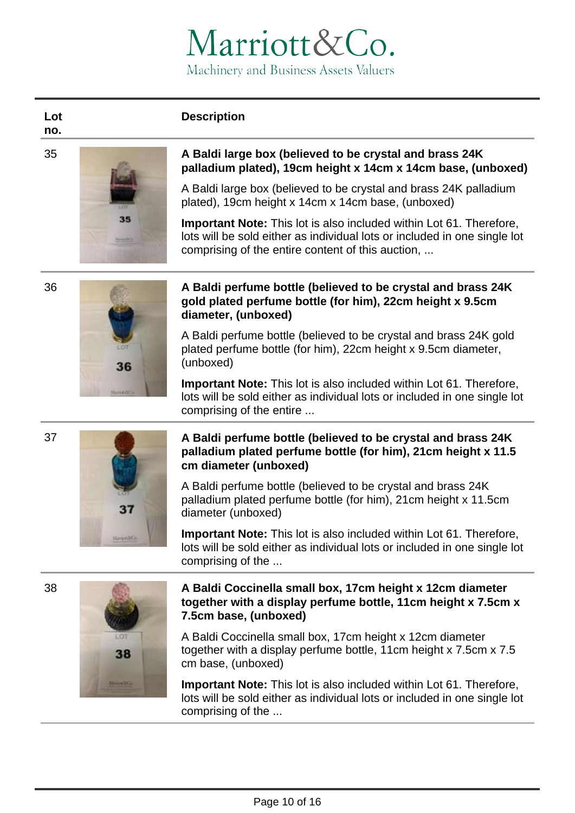# **Description**



**Lot** 



# 35 **A Baldi large box (believed to be crystal and brass 24K palladium plated), 19cm height x 14cm x 14cm base, (unboxed)**

A Baldi large box (believed to be crystal and brass 24K palladium plated), 19cm height x 14cm x 14cm base, (unboxed)

**Important Note:** This lot is also included within Lot 61. Therefore, lots will be sold either as individual lots or included in one single lot comprising of the entire content of this auction, ...



# 36 **A Baldi perfume bottle (believed to be crystal and brass 24K gold plated perfume bottle (for him), 22cm height x 9.5cm diameter, (unboxed)**

A Baldi perfume bottle (believed to be crystal and brass 24K gold plated perfume bottle (for him), 22cm height x 9.5cm diameter, (unboxed)

**Important Note:** This lot is also included within Lot 61. Therefore, lots will be sold either as individual lots or included in one single lot comprising of the entire ...

# 37 **A Baldi perfume bottle (believed to be crystal and brass 24K palladium plated perfume bottle (for him), 21cm height x 11.5**

A Baldi perfume bottle (believed to be crystal and brass 24K palladium plated perfume bottle (for him), 21cm height x 11.5cm diameter (unboxed)

**Important Note:** This lot is also included within Lot 61. Therefore, lots will be sold either as individual lots or included in one single lot comprising of the ...

# 38

37

# 38 **A Baldi Coccinella small box, 17cm height x 12cm diameter together with a display perfume bottle, 11cm height x 7.5cm x 7.5cm base, (unboxed)**

A Baldi Coccinella small box, 17cm height x 12cm diameter together with a display perfume bottle, 11cm height x 7.5cm x 7.5 cm base, (unboxed)

**Important Note:** This lot is also included within Lot 61. Therefore, lots will be sold either as individual lots or included in one single lot comprising of the ...



Page 10 of 16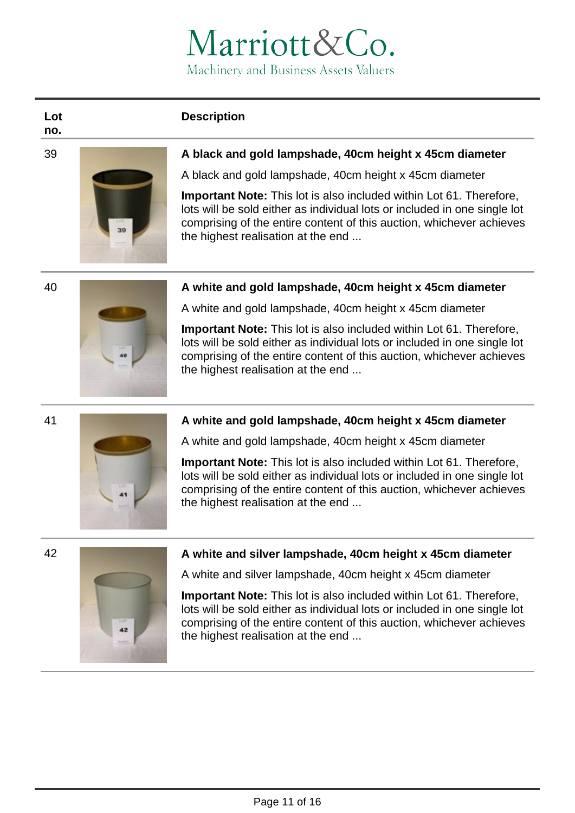# **Description**

**Lot no.**



# 39 **A black and gold lampshade, 40cm height x 45cm diameter**

A black and gold lampshade, 40cm height x 45cm diameter

**Important Note:** This lot is also included within Lot 61. Therefore, lots will be sold either as individual lots or included in one single lot comprising of the entire content of this auction, whichever achieves the highest realisation at the end ...



# 40 **A white and gold lampshade, 40cm height x 45cm diameter**

A white and gold lampshade, 40cm height x 45cm diameter

**Important Note:** This lot is also included within Lot 61. Therefore, lots will be sold either as individual lots or included in one single lot comprising of the entire content of this auction, whichever achieves the highest realisation at the end ...



# 41 **A white and gold lampshade, 40cm height x 45cm diameter**

A white and gold lampshade, 40cm height x 45cm diameter

**Important Note:** This lot is also included within Lot 61. Therefore, lots will be sold either as individual lots or included in one single lot comprising of the entire content of this auction, whichever achieves the highest realisation at the end ...



# 42 **A white and silver lampshade, 40cm height x 45cm diameter**

A white and silver lampshade, 40cm height x 45cm diameter

**Important Note:** This lot is also included within Lot 61. Therefore, lots will be sold either as individual lots or included in one single lot comprising of the entire content of this auction, whichever achieves the highest realisation at the end ...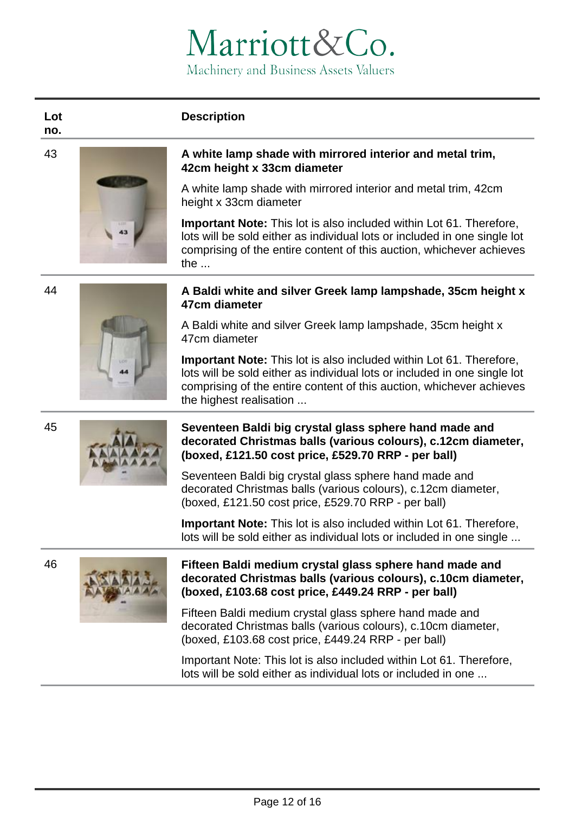# **Description**

**no.**

**Lot** 



### 43 **A white lamp shade with mirrored interior and metal trim, 42cm height x 33cm diameter**

A white lamp shade with mirrored interior and metal trim, 42cm height x 33cm diameter

**Important Note:** This lot is also included within Lot 61. Therefore, lots will be sold either as individual lots or included in one single lot comprising of the entire content of this auction, whichever achieves the ...



# 44 **A Baldi white and silver Greek lamp lampshade, 35cm height x 47cm diameter**

A Baldi white and silver Greek lamp lampshade, 35cm height x 47cm diameter

**Important Note:** This lot is also included within Lot 61. Therefore, lots will be sold either as individual lots or included in one single lot comprising of the entire content of this auction, whichever achieves the highest realisation ...



# 45 **Seventeen Baldi big crystal glass sphere hand made and decorated Christmas balls (various colours), c.12cm diameter, (boxed, £121.50 cost price, £529.70 RRP - per ball)**

Seventeen Baldi big crystal glass sphere hand made and decorated Christmas balls (various colours), c.12cm diameter, (boxed, £121.50 cost price, £529.70 RRP - per ball)

**Important Note:** This lot is also included within Lot 61. Therefore, lots will be sold either as individual lots or included in one single ...



# 46 **Fifteen Baldi medium crystal glass sphere hand made and decorated Christmas balls (various colours), c.10cm diameter, (boxed, £103.68 cost price, £449.24 RRP - per ball)**

Fifteen Baldi medium crystal glass sphere hand made and decorated Christmas balls (various colours), c.10cm diameter, (boxed, £103.68 cost price, £449.24 RRP - per ball)

Important Note: This lot is also included within Lot 61. Therefore, lots will be sold either as individual lots or included in one ...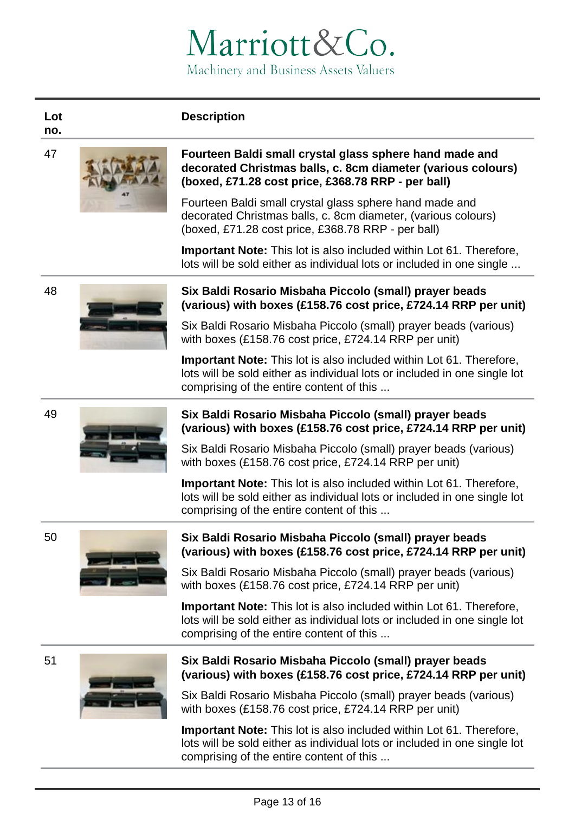# **Description**

**Lot no.**



### 47 **Fourteen Baldi small crystal glass sphere hand made and decorated Christmas balls, c. 8cm diameter (various colours) (boxed, £71.28 cost price, £368.78 RRP - per ball)**

Fourteen Baldi small crystal glass sphere hand made and decorated Christmas balls, c. 8cm diameter, (various colours) (boxed, £71.28 cost price, £368.78 RRP - per ball)

**Important Note:** This lot is also included within Lot 61. Therefore, lots will be sold either as individual lots or included in one single ...



# 48 **Six Baldi Rosario Misbaha Piccolo (small) prayer beads (various) with boxes (£158.76 cost price, £724.14 RRP per unit)**

Six Baldi Rosario Misbaha Piccolo (small) prayer beads (various) with boxes (£158.76 cost price, £724.14 RRP per unit)

**Important Note:** This lot is also included within Lot 61. Therefore, lots will be sold either as individual lots or included in one single lot comprising of the entire content of this ...





# 49 **Six Baldi Rosario Misbaha Piccolo (small) prayer beads (various) with boxes (£158.76 cost price, £724.14 RRP per unit)**

Six Baldi Rosario Misbaha Piccolo (small) prayer beads (various) with boxes (£158.76 cost price, £724.14 RRP per unit)

**Important Note:** This lot is also included within Lot 61. Therefore, lots will be sold either as individual lots or included in one single lot comprising of the entire content of this ...





# 50 **Six Baldi Rosario Misbaha Piccolo (small) prayer beads (various) with boxes (£158.76 cost price, £724.14 RRP per unit)**

Six Baldi Rosario Misbaha Piccolo (small) prayer beads (various) with boxes (£158.76 cost price, £724.14 RRP per unit)

**Important Note:** This lot is also included within Lot 61. Therefore, lots will be sold either as individual lots or included in one single lot comprising of the entire content of this ...





# 51 **Six Baldi Rosario Misbaha Piccolo (small) prayer beads (various) with boxes (£158.76 cost price, £724.14 RRP per unit)**

Six Baldi Rosario Misbaha Piccolo (small) prayer beads (various) with boxes (£158.76 cost price, £724.14 RRP per unit)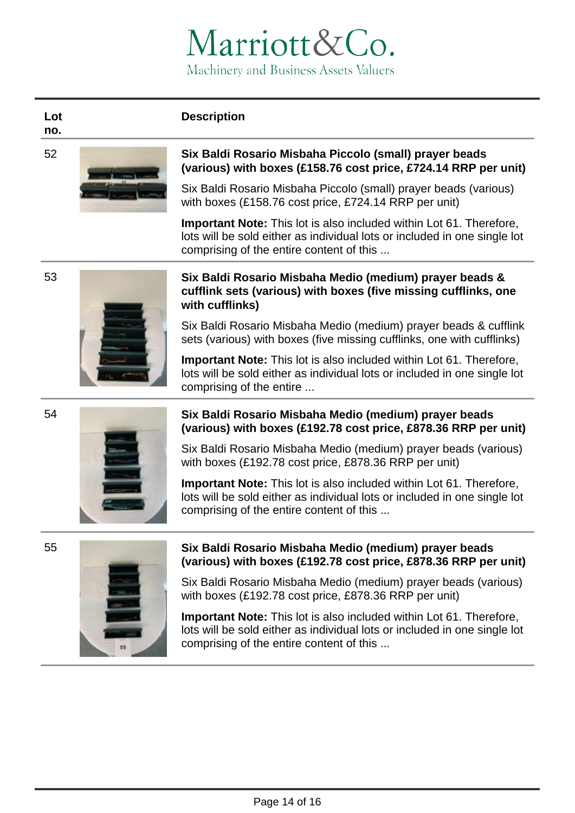# **Description**

**Lot no.**



# 52 **Six Baldi Rosario Misbaha Piccolo (small) prayer beads (various) with boxes (£158.76 cost price, £724.14 RRP per unit)**

Six Baldi Rosario Misbaha Piccolo (small) prayer beads (various) with boxes (£158.76 cost price, £724.14 RRP per unit)

**Important Note:** This lot is also included within Lot 61. Therefore, lots will be sold either as individual lots or included in one single lot comprising of the entire content of this ...





# 53 **Six Baldi Rosario Misbaha Medio (medium) prayer beads & cufflink sets (various) with boxes (five missing cufflinks, one with cufflinks)**

Six Baldi Rosario Misbaha Medio (medium) prayer beads & cufflink sets (various) with boxes (five missing cufflinks, one with cufflinks)

**Important Note:** This lot is also included within Lot 61. Therefore, lots will be sold either as individual lots or included in one single lot comprising of the entire ...



# 54 **Six Baldi Rosario Misbaha Medio (medium) prayer beads (various) with boxes (£192.78 cost price, £878.36 RRP per unit)**

Six Baldi Rosario Misbaha Medio (medium) prayer beads (various) with boxes (£192.78 cost price, £878.36 RRP per unit)

**Important Note:** This lot is also included within Lot 61. Therefore, lots will be sold either as individual lots or included in one single lot comprising of the entire content of this ...



# 55 **Six Baldi Rosario Misbaha Medio (medium) prayer beads (various) with boxes (£192.78 cost price, £878.36 RRP per unit)**

Six Baldi Rosario Misbaha Medio (medium) prayer beads (various) with boxes (£192.78 cost price, £878.36 RRP per unit)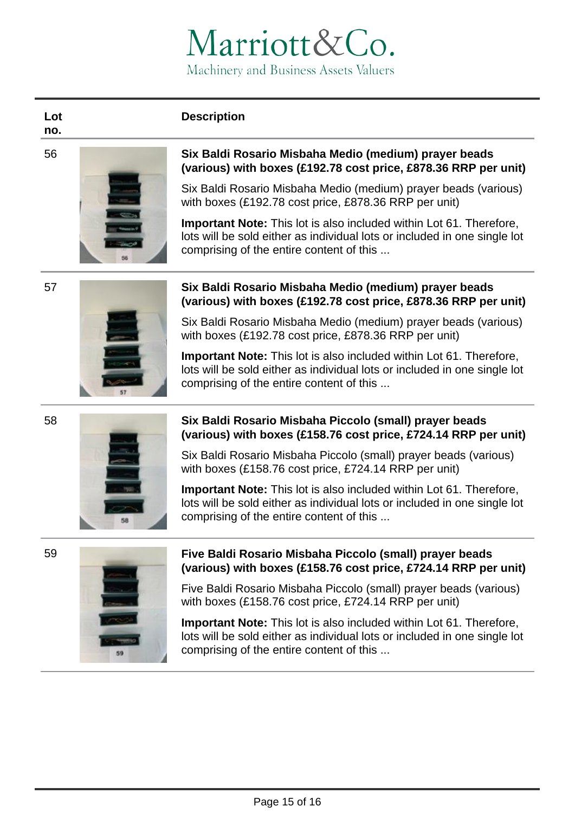# **Description**

**no.**

**Lot** 



# 56 **Six Baldi Rosario Misbaha Medio (medium) prayer beads (various) with boxes (£192.78 cost price, £878.36 RRP per unit)**

Six Baldi Rosario Misbaha Medio (medium) prayer beads (various) with boxes (£192.78 cost price, £878.36 RRP per unit)

**Important Note:** This lot is also included within Lot 61. Therefore, lots will be sold either as individual lots or included in one single lot comprising of the entire content of this ...



# 57 **Six Baldi Rosario Misbaha Medio (medium) prayer beads (various) with boxes (£192.78 cost price, £878.36 RRP per unit)**

Six Baldi Rosario Misbaha Medio (medium) prayer beads (various) with boxes (£192.78 cost price, £878.36 RRP per unit)

**Important Note:** This lot is also included within Lot 61. Therefore, lots will be sold either as individual lots or included in one single lot comprising of the entire content of this ...



# **Six Baldi Rosario Misbaha Piccolo (small) prayer beads (various) with boxes (£158.76 cost price, £724.14 RRP per unit)**

Six Baldi Rosario Misbaha Piccolo (small) prayer beads (various) with boxes (£158.76 cost price, £724.14 RRP per unit)

**Important Note:** This lot is also included within Lot 61. Therefore, lots will be sold either as individual lots or included in one single lot comprising of the entire content of this ...





# 59 **Five Baldi Rosario Misbaha Piccolo (small) prayer beads (various) with boxes (£158.76 cost price, £724.14 RRP per unit)**

Five Baldi Rosario Misbaha Piccolo (small) prayer beads (various) with boxes (£158.76 cost price, £724.14 RRP per unit)